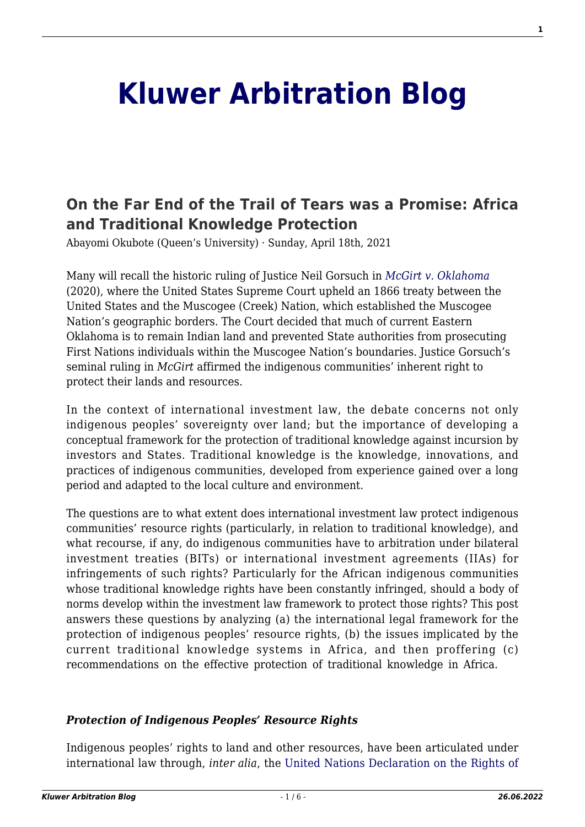# **[Kluwer Arbitration Blog](http://arbitrationblog.kluwerarbitration.com/)**

# **[On the Far End of the Trail of Tears was a Promise: Africa](http://arbitrationblog.kluwerarbitration.com/2021/04/18/on-the-far-end-of-the-trail-of-tears-was-a-promise-africa-and-traditional-knowledge-protection/) [and Traditional Knowledge Protection](http://arbitrationblog.kluwerarbitration.com/2021/04/18/on-the-far-end-of-the-trail-of-tears-was-a-promise-africa-and-traditional-knowledge-protection/)**

Abayomi Okubote (Queen's University) · Sunday, April 18th, 2021

Many will recall the historic ruling of Justice Neil Gorsuch in *[McGirt v. Oklahoma](https://www.supremecourt.gov/opinions/19pdf/18-9526_9okb.pdf)* (2020), where the United States Supreme Court upheld an 1866 treaty between the United States and the Muscogee (Creek) Nation, which established the Muscogee Nation's geographic borders. The Court decided that much of current Eastern Oklahoma is to remain Indian land and prevented State authorities from prosecuting First Nations individuals within the Muscogee Nation's boundaries. Justice Gorsuch's seminal ruling in *McGirt* affirmed the indigenous communities' inherent right to protect their lands and resources.

In the context of international investment law, the debate concerns not only indigenous peoples' sovereignty over land; but the importance of developing a conceptual framework for the protection of traditional knowledge against incursion by investors and States. Traditional knowledge is the knowledge, innovations, and practices of indigenous communities, developed from experience gained over a long period and adapted to the local culture and environment.

The questions are to what extent does international investment law protect indigenous communities' resource rights (particularly, in relation to traditional knowledge), and what recourse, if any, do indigenous communities have to arbitration under bilateral investment treaties (BITs) or international investment agreements (IIAs) for infringements of such rights? Particularly for the African indigenous communities whose traditional knowledge rights have been constantly infringed, should a body of norms develop within the investment law framework to protect those rights? This post answers these questions by analyzing (a) the international legal framework for the protection of indigenous peoples' resource rights, (b) the issues implicated by the current traditional knowledge systems in Africa, and then proffering (c) recommendations on the effective protection of traditional knowledge in Africa.

#### *Protection of Indigenous Peoples' Resource Rights*

Indigenous peoples' rights to land and other resources, have been articulated under international law through, *inter alia*, the [United Nations Declaration on the Rights of](https://www.un.org/development/desa/indigenouspeoples/wp-content/uploads/sites/19/2018/11/UNDRIP_E_web.pdf)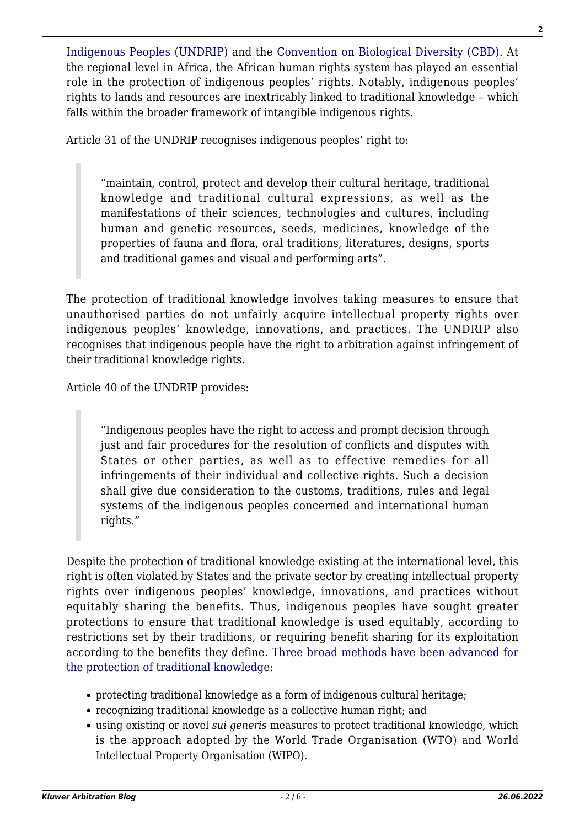[Indigenous Peoples \(UNDRIP\)](https://www.un.org/development/desa/indigenouspeoples/wp-content/uploads/sites/19/2018/11/UNDRIP_E_web.pdf) and the [Convention on Biological Diversity \(CBD\)](https://www.cbd.int/doc/legal/cbd-en.pdf). At the regional level in Africa, the African human rights system has played an essential role in the protection of indigenous peoples' rights. Notably, indigenous peoples' rights to lands and resources are inextricably linked to traditional knowledge – which falls within the broader framework of intangible indigenous rights.

Article 31 of the UNDRIP recognises indigenous peoples' right to:

"maintain, control, protect and develop their cultural heritage, traditional knowledge and traditional cultural expressions, as well as the manifestations of their sciences, technologies and cultures, including human and genetic resources, seeds, medicines, knowledge of the properties of fauna and flora, oral traditions, literatures, designs, sports and traditional games and visual and performing arts".

The protection of traditional knowledge involves taking measures to ensure that unauthorised parties do not unfairly acquire intellectual property rights over indigenous peoples' knowledge, innovations, and practices. The UNDRIP also recognises that indigenous people have the right to arbitration against infringement of their traditional knowledge rights.

Article 40 of the UNDRIP provides:

"Indigenous peoples have the right to access and prompt decision through just and fair procedures for the resolution of conflicts and disputes with States or other parties, as well as to effective remedies for all infringements of their individual and collective rights. Such a decision shall give due consideration to the customs, traditions, rules and legal systems of the indigenous peoples concerned and international human rights."

Despite the protection of traditional knowledge existing at the international level, this right is often violated by States and the private sector by creating intellectual property rights over indigenous peoples' knowledge, innovations, and practices without equitably sharing the benefits. Thus, indigenous peoples have sought greater protections to ensure that traditional knowledge is used equitably, according to restrictions set by their traditions, or requiring benefit sharing for its exploitation according to the benefits they define. [Three broad methods have been advanced for](https://unctad.org/system/files/official-document/ditcted10_en.pdf) [the protection of traditional knowledge:](https://unctad.org/system/files/official-document/ditcted10_en.pdf)

- protecting traditional knowledge as a form of indigenous cultural heritage;
- recognizing traditional knowledge as a collective human right; and
- using existing or novel *sui generis* measures to protect traditional knowledge, which is the approach adopted by the World Trade Organisation (WTO) and World Intellectual Property Organisation (WIPO).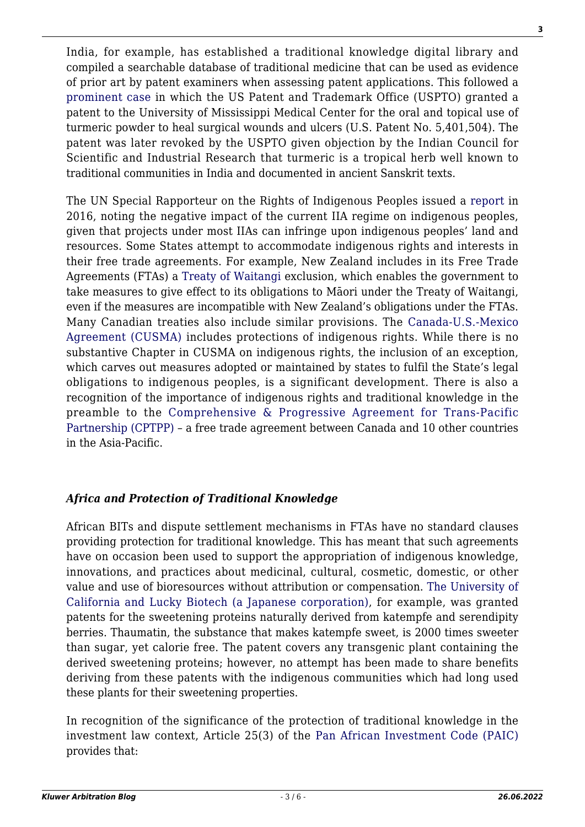India, for example, has established a traditional knowledge digital library and compiled a searchable database of traditional medicine that can be used as evidence of prior art by patent examiners when assessing patent applications. This followed a [prominent case](https://patentimages.storage.googleapis.com/c5/4a/0f/bd0d3ab5478eaa/US5401504.pdf) in which the US Patent and Trademark Office (USPTO) granted a patent to the University of Mississippi Medical Center for the oral and topical use of turmeric powder to heal surgical wounds and ulcers (U.S. Patent No. 5,401,504). The patent was later revoked by the USPTO given objection by the Indian Council for Scientific and Industrial Research that turmeric is a tropical herb well known to traditional communities in India and documented in ancient Sanskrit texts.

The UN Special Rapporteur on the Rights of Indigenous Peoples issued a [report](https://undocs.org/A/HRC/33/42) in 2016, noting the negative impact of the current IIA regime on indigenous peoples, given that projects under most IIAs can infringe upon indigenous peoples' land and resources. Some States attempt to accommodate indigenous rights and interests in their free trade agreements. For example, New Zealand includes in its Free Trade Agreements (FTAs) a [Treaty of Waitangi](https://nzhistory.govt.nz/politics/treaty/read-the-treaty/english-text) exclusion, which enables the government to take measures to give effect to its obligations to Māori under the Treaty of Waitangi, even if the measures are incompatible with New Zealand's obligations under the FTAs. Many Canadian treaties also include similar provisions. The [Canada-U.S.-Mexico](https://www.international.gc.ca/trade-commerce/trade-agreements-accords-commerciaux/agr-acc/cusma-aceum/text-texte/a2_canada.aspx?lang=eng) [Agreement \(CUSMA\)](https://www.international.gc.ca/trade-commerce/trade-agreements-accords-commerciaux/agr-acc/cusma-aceum/text-texte/a2_canada.aspx?lang=eng) includes protections of indigenous rights. While there is no substantive Chapter in CUSMA on indigenous rights, the inclusion of an exception, which carves out measures adopted or maintained by states to fulfil the State's legal obligations to indigenous peoples, is a significant development. There is also a recognition of the importance of indigenous rights and traditional knowledge in the preamble to the [Comprehensive & Progressive Agreement for Trans-Pacific](https://www.iilj.org/wp-content/uploads/2018/03/CPTPP-consolidated.pdf) [Partnership \(CPTPP\)](https://www.iilj.org/wp-content/uploads/2018/03/CPTPP-consolidated.pdf) – a free trade agreement between Canada and 10 other countries in the Asia-Pacific.

## *Africa and Protection of Traditional Knowledge*

African BITs and dispute settlement mechanisms in FTAs have no standard clauses providing protection for traditional knowledge. This has meant that such agreements have on occasion been used to support the appropriation of indigenous knowledge, innovations, and practices about medicinal, cultural, cosmetic, domestic, or other value and use of bioresources without attribution or compensation. [The University of](https://library.fes.de/libalt/journals/swetsfulltext/11744860.pdf) [California and Lucky Biotech \(a Japanese corporation\)](https://library.fes.de/libalt/journals/swetsfulltext/11744860.pdf), for example, was granted patents for the sweetening proteins naturally derived from katempfe and serendipity berries. Thaumatin, the substance that makes katempfe sweet, is 2000 times sweeter than sugar, yet calorie free. The patent covers any transgenic plant containing the derived sweetening proteins; however, no attempt has been made to share benefits deriving from these patents with the indigenous communities which had long used these plants for their sweetening properties.

In recognition of the significance of the protection of traditional knowledge in the investment law context, Article 25(3) of the [Pan African Investment Code \(PAIC\)](https://au.int/sites/default/files/documents/32844-doc-draft_pan-african_investment_code_december_2016_en.pdf) provides that: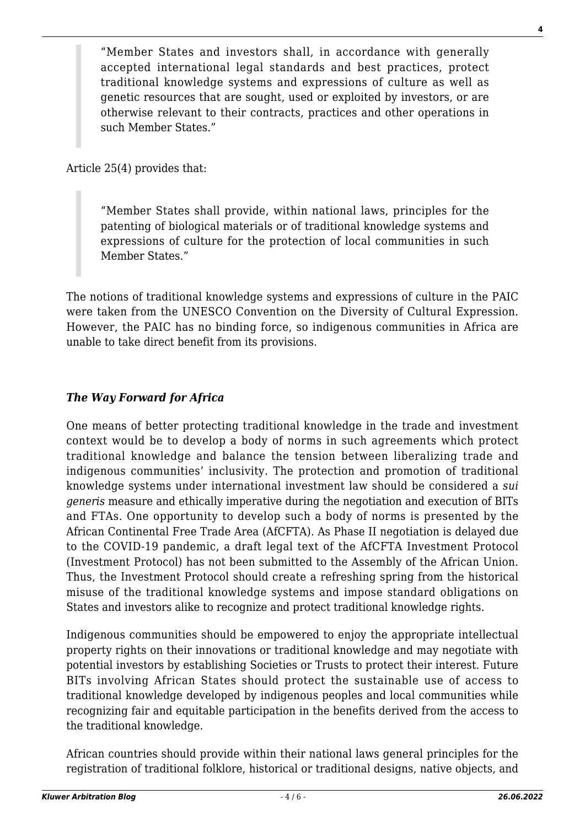"Member States and investors shall, in accordance with generally accepted international legal standards and best practices, protect traditional knowledge systems and expressions of culture as well as genetic resources that are sought, used or exploited by investors, or are otherwise relevant to their contracts, practices and other operations in such Member States."

Article 25(4) provides that:

"Member States shall provide, within national laws, principles for the patenting of biological materials or of traditional knowledge systems and expressions of culture for the protection of local communities in such Member States."

The notions of traditional knowledge systems and expressions of culture in the PAIC were taken from the UNESCO Convention on the Diversity of Cultural Expression. However, the PAIC has no binding force, so indigenous communities in Africa are unable to take direct benefit from its provisions.

## *The Way Forward for Africa*

One means of better protecting traditional knowledge in the trade and investment context would be to develop a body of norms in such agreements which protect traditional knowledge and balance the tension between liberalizing trade and indigenous communities' inclusivity. The protection and promotion of traditional knowledge systems under international investment law should be considered a *sui generis* measure and ethically imperative during the negotiation and execution of BITs and FTAs. One opportunity to develop such a body of norms is presented by the African Continental Free Trade Area (AfCFTA). As Phase II negotiation is delayed due to the COVID-19 pandemic, a draft legal text of the AfCFTA Investment Protocol (Investment Protocol) has not been submitted to the Assembly of the African Union. Thus, the Investment Protocol should create a refreshing spring from the historical misuse of the traditional knowledge systems and impose standard obligations on States and investors alike to recognize and protect traditional knowledge rights.

Indigenous communities should be empowered to enjoy the appropriate intellectual property rights on their innovations or traditional knowledge and may negotiate with potential investors by establishing Societies or Trusts to protect their interest. Future BITs involving African States should protect the sustainable use of access to traditional knowledge developed by indigenous peoples and local communities while recognizing fair and equitable participation in the benefits derived from the access to the traditional knowledge.

African countries should provide within their national laws general principles for the registration of traditional folklore, historical or traditional designs, native objects, and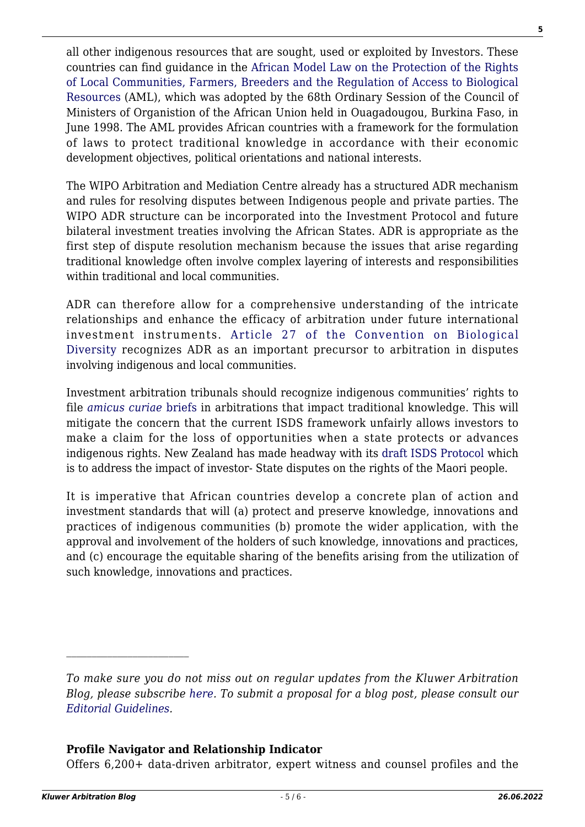all other indigenous resources that are sought, used or exploited by Investors. These countries can find guidance in the [African Model Law on the Protection of the Rights](https://www.wipo.int/edocs/lexdocs/laws/en/oau/oau001en.pdf) [of Local Communities, Farmers, Breeders and the Regulation of Access to Biological](https://www.wipo.int/edocs/lexdocs/laws/en/oau/oau001en.pdf) [Resources](https://www.wipo.int/edocs/lexdocs/laws/en/oau/oau001en.pdf) (AML), which was adopted by the 68th Ordinary Session of the Council of Ministers of Organistion of the African Union held in Ouagadougou, Burkina Faso, in June 1998. The AML provides African countries with a framework for the formulation of laws to protect traditional knowledge in accordance with their economic development objectives, political orientations and national interests.

The WIPO Arbitration and Mediation Centre already has a structured ADR mechanism and rules for resolving disputes between Indigenous people and private parties. The WIPO ADR structure can be incorporated into the Investment Protocol and future bilateral investment treaties involving the African States. ADR is appropriate as the first step of dispute resolution mechanism because the issues that arise regarding traditional knowledge often involve complex layering of interests and responsibilities within traditional and local communities.

ADR can therefore allow for a comprehensive understanding of the intricate relationships and enhance the efficacy of arbitration under future international investment instruments. [Article 27 of the Convention on Biological](https://www.cbd.int/doc/legal/cbd-en.pdf) [Diversity](https://www.cbd.int/doc/legal/cbd-en.pdf) recognizes ADR as an important precursor to arbitration in disputes involving indigenous and local communities.

Investment arbitration tribunals should recognize indigenous communities' rights to file *[amicus curiae](https://www.kluwerarbitration.com/document/kli-ka-201011012-n?q=amicus%20curiae%20briefs)* [briefs](https://www.kluwerarbitration.com/document/kli-ka-201011012-n?q=amicus%20curiae%20briefs) in arbitrations that impact traditional knowledge. This will mitigate the concern that the current ISDS framework unfairly allows investors to make a claim for the loss of opportunities when a state protects or advances indigenous rights. New Zealand has made headway with its [draft ISDS Protocol](https://www.mfat.govt.nz/assets/Trade-General/Investor-State-Dispute-Settlement-ISDS/Draft-ISDS-Protocol-for-consultation.pdf) which is to address the impact of investor- State disputes on the rights of the Maori people.

It is imperative that African countries develop a concrete plan of action and investment standards that will (a) protect and preserve knowledge, innovations and practices of indigenous communities (b) promote the wider application, with the approval and involvement of the holders of such knowledge, innovations and practices, and (c) encourage the equitable sharing of the benefits arising from the utilization of such knowledge, innovations and practices.

#### **Profile Navigator and Relationship Indicator**

Offers 6,200+ data-driven arbitrator, expert witness and counsel profiles and the

**5**

*To make sure you do not miss out on regular updates from the Kluwer Arbitration Blog, please subscribe [here](http://arbitrationblog.kluwerarbitration.com/newsletter/). To submit a proposal for a blog post, please consult our [Editorial Guidelines.](http://arbitrationblog.kluwerarbitration.com/editorial-guidelines/)*